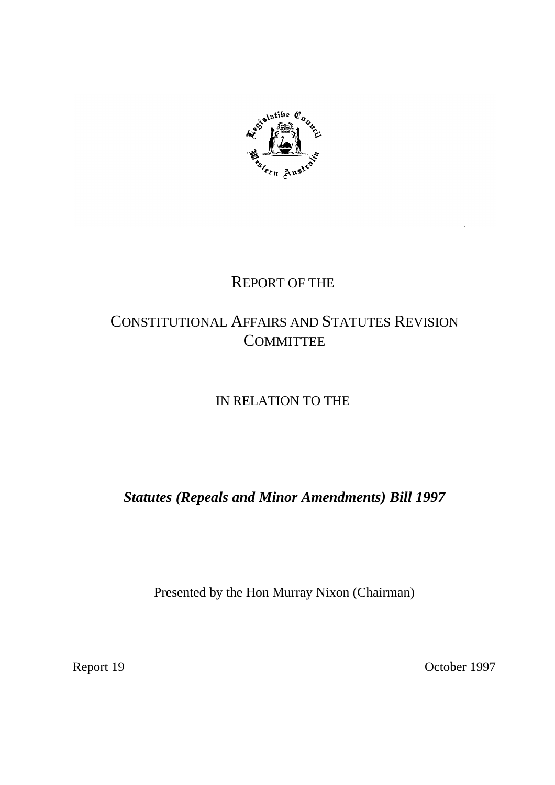

## REPORT OF THE

# CONSTITUTIONAL AFFAIRS AND STATUTES REVISION **COMMITTEE**

## IN RELATION TO THE

*Statutes (Repeals and Minor Amendments) Bill 1997*

Presented by the Hon Murray Nixon (Chairman)

Report 19 October 1997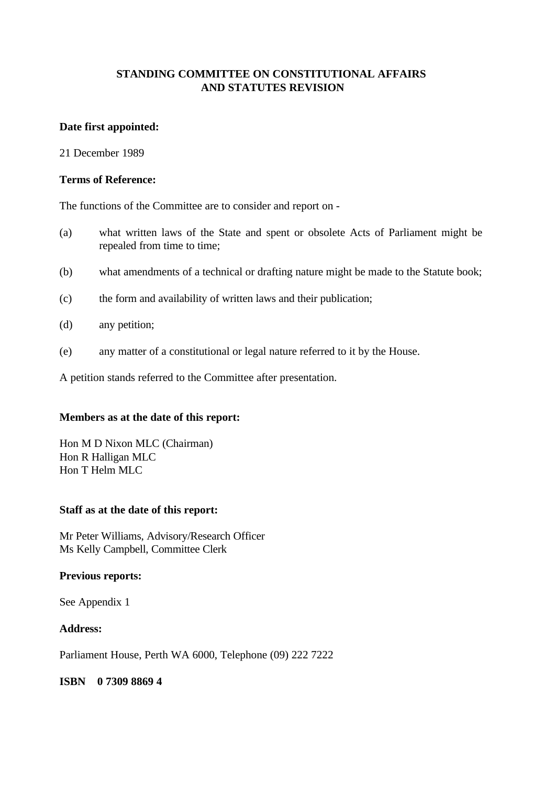## **STANDING COMMITTEE ON CONSTITUTIONAL AFFAIRS AND STATUTES REVISION**

## **Date first appointed:**

21 December 1989

#### **Terms of Reference:**

The functions of the Committee are to consider and report on -

- (a) what written laws of the State and spent or obsolete Acts of Parliament might be repealed from time to time;
- (b) what amendments of a technical or drafting nature might be made to the Statute book;
- (c) the form and availability of written laws and their publication;
- (d) any petition;
- (e) any matter of a constitutional or legal nature referred to it by the House.

A petition stands referred to the Committee after presentation.

## **Members as at the date of this report:**

Hon M D Nixon MLC (Chairman) Hon R Halligan MLC Hon T Helm MLC

## **Staff as at the date of this report:**

Mr Peter Williams, Advisory/Research Officer Ms Kelly Campbell, Committee Clerk

## **Previous reports:**

See Appendix 1

## **Address:**

Parliament House, Perth WA 6000, Telephone (09) 222 7222

**ISBN 0 7309 8869 4**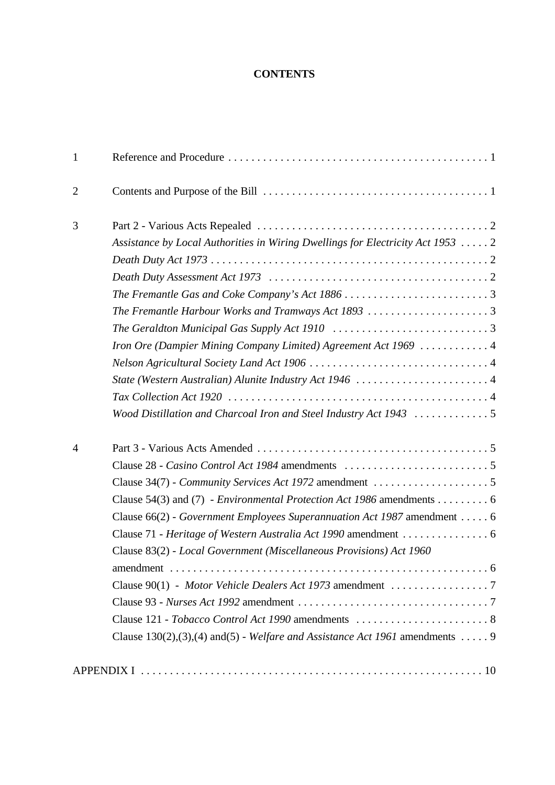## **CONTENTS**

| $\mathbf{1}$   |                                                                                                       |  |
|----------------|-------------------------------------------------------------------------------------------------------|--|
| $\overline{2}$ |                                                                                                       |  |
| 3              |                                                                                                       |  |
|                | Assistance by Local Authorities in Wiring Dwellings for Electricity Act 1953  2                       |  |
|                |                                                                                                       |  |
|                |                                                                                                       |  |
|                |                                                                                                       |  |
|                |                                                                                                       |  |
|                | The Geraldton Municipal Gas Supply Act 1910 $\ldots \ldots \ldots \ldots \ldots \ldots \ldots \ldots$ |  |
|                | Iron Ore (Dampier Mining Company Limited) Agreement Act 1969  4                                       |  |
|                |                                                                                                       |  |
|                |                                                                                                       |  |
|                |                                                                                                       |  |
|                | Wood Distillation and Charcoal Iron and Steel Industry Act $1943$ 5                                   |  |
| $\overline{4}$ |                                                                                                       |  |
|                |                                                                                                       |  |
|                |                                                                                                       |  |
|                | Clause 54(3) and (7) - <i>Environmental Protection Act 1986</i> amendments 6                          |  |
|                | Clause 66(2) - Government Employees Superannuation Act 1987 amendment 6                               |  |
|                |                                                                                                       |  |
|                | Clause 83(2) - Local Government (Miscellaneous Provisions) Act 1960                                   |  |
|                |                                                                                                       |  |
|                | Clause 90(1) - Motor Vehicle Dealers Act 1973 amendment 7                                             |  |
|                |                                                                                                       |  |
|                |                                                                                                       |  |
|                | Clause 130(2), (3), (4) and (5) - Welfare and Assistance Act 1961 amendments 9                        |  |
|                |                                                                                                       |  |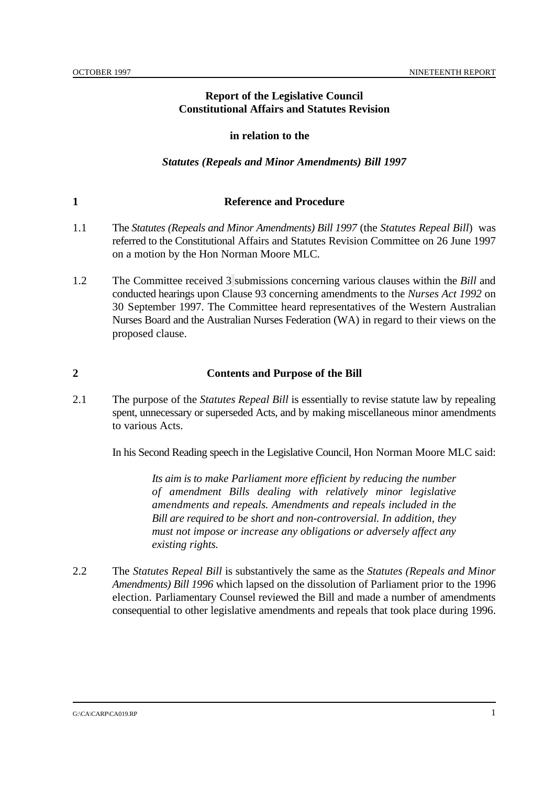## **Report of the Legislative Council Constitutional Affairs and Statutes Revision**

#### **in relation to the**

#### *Statutes (Repeals and Minor Amendments) Bill 1997*

#### **1 Reference and Procedure**

- 1.1 The *Statutes (Repeals and Minor Amendments) Bill 1997* (the *Statutes Repeal Bill*) was referred to the Constitutional Affairs and Statutes Revision Committee on 26 June 1997 on a motion by the Hon Norman Moore MLC.
- 1.2 The Committee received 3 submissions concerning various clauses within the *Bill* and conducted hearings upon Clause 93 concerning amendments to the *Nurses Act 1992* on 30 September 1997. The Committee heard representatives of the Western Australian Nurses Board and the Australian Nurses Federation (WA) in regard to their views on the proposed clause.

#### **2 Contents and Purpose of the Bill**

2.1 The purpose of the *Statutes Repeal Bill* is essentially to revise statute law by repealing spent, unnecessary or superseded Acts, and by making miscellaneous minor amendments to various Acts.

In his Second Reading speech in the Legislative Council, Hon Norman Moore MLC said:

*Its aim is to make Parliament more efficient by reducing the number of amendment Bills dealing with relatively minor legislative amendments and repeals. Amendments and repeals included in the Bill are required to be short and non-controversial. In addition, they must not impose or increase any obligations or adversely affect any existing rights.*

2.2 The *Statutes Repeal Bill* is substantively the same as the *Statutes (Repeals and Minor Amendments) Bill 1996* which lapsed on the dissolution of Parliament prior to the 1996 election. Parliamentary Counsel reviewed the Bill and made a number of amendments consequential to other legislative amendments and repeals that took place during 1996.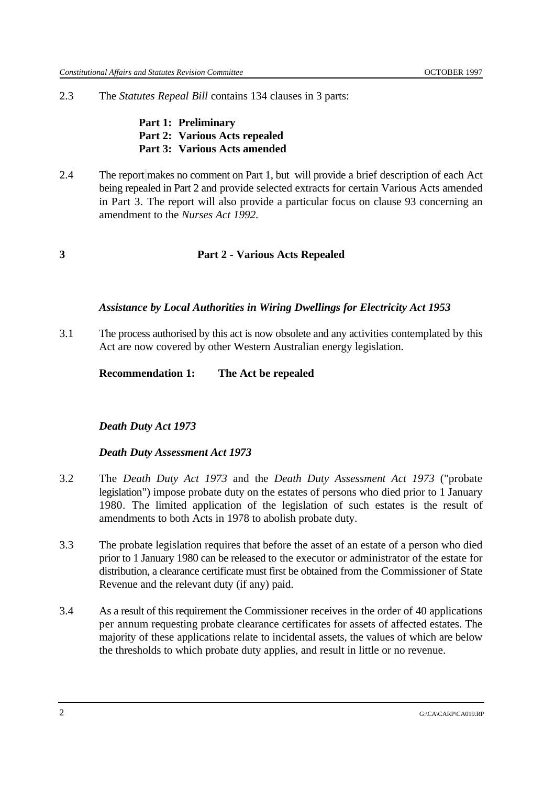2.3 The *Statutes Repeal Bill* contains 134 clauses in 3 parts:

**Part 1: Preliminary Part 2: Various Acts repealed Part 3: Various Acts amended**

2.4 The report makes no comment on Part 1, but will provide a brief description of each Act being repealed in Part 2 and provide selected extracts for certain Various Acts amended in Part 3. The report will also provide a particular focus on clause 93 concerning an amendment to the *Nurses Act 1992.*

## **3 Part 2 - Various Acts Repealed**

#### *Assistance by Local Authorities in Wiring Dwellings for Electricity Act 1953*

3.1 The process authorised by this act is now obsolete and any activities contemplated by this Act are now covered by other Western Australian energy legislation.

**Recommendation 1: The Act be repealed**

## *Death Duty Act 1973*

#### *Death Duty Assessment Act 1973*

- 3.2 The *Death Duty Act 1973* and the *Death Duty Assessment Act 1973* ("probate legislation") impose probate duty on the estates of persons who died prior to 1 January 1980. The limited application of the legislation of such estates is the result of amendments to both Acts in 1978 to abolish probate duty.
- 3.3 The probate legislation requires that before the asset of an estate of a person who died prior to 1 January 1980 can be released to the executor or administrator of the estate for distribution, a clearance certificate must first be obtained from the Commissioner of State Revenue and the relevant duty (if any) paid.
- 3.4 As a result of this requirement the Commissioner receives in the order of 40 applications per annum requesting probate clearance certificates for assets of affected estates. The majority of these applications relate to incidental assets, the values of which are below the thresholds to which probate duty applies, and result in little or no revenue.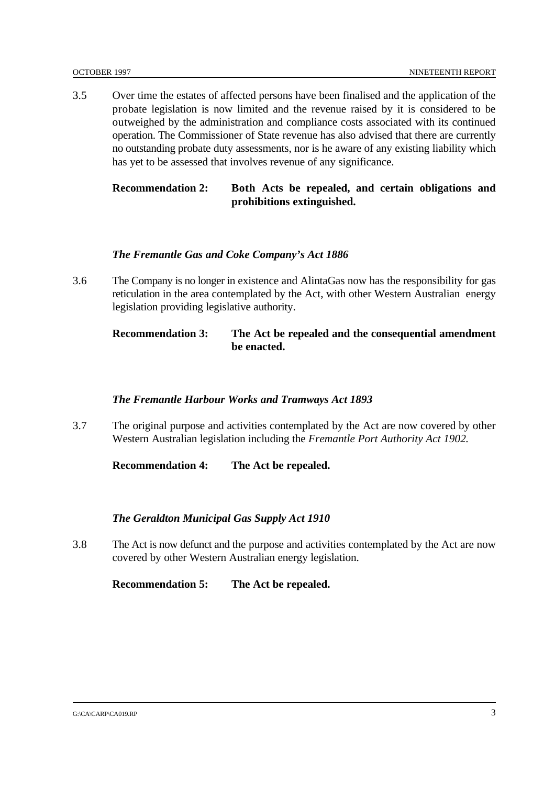3.5 Over time the estates of affected persons have been finalised and the application of the probate legislation is now limited and the revenue raised by it is considered to be outweighed by the administration and compliance costs associated with its continued operation. The Commissioner of State revenue has also advised that there are currently no outstanding probate duty assessments, nor is he aware of any existing liability which has yet to be assessed that involves revenue of any significance.

## **Recommendation 2: Both Acts be repealed, and certain obligations and prohibitions extinguished.**

## *The Fremantle Gas and Coke Company's Act 1886*

3.6 The Company is no longer in existence and AlintaGas now has the responsibility for gas reticulation in the area contemplated by the Act, with other Western Australian energy legislation providing legislative authority.

## **Recommendation 3: The Act be repealed and the consequential amendment be enacted.**

#### *The Fremantle Harbour Works and Tramways Act 1893*

3.7 The original purpose and activities contemplated by the Act are now covered by other Western Australian legislation including the *Fremantle Port Authority Act 1902.*

**Recommendation 4: The Act be repealed.**

## *The Geraldton Municipal Gas Supply Act 1910*

3.8 The Act is now defunct and the purpose and activities contemplated by the Act are now covered by other Western Australian energy legislation.

**Recommendation 5: The Act be repealed.**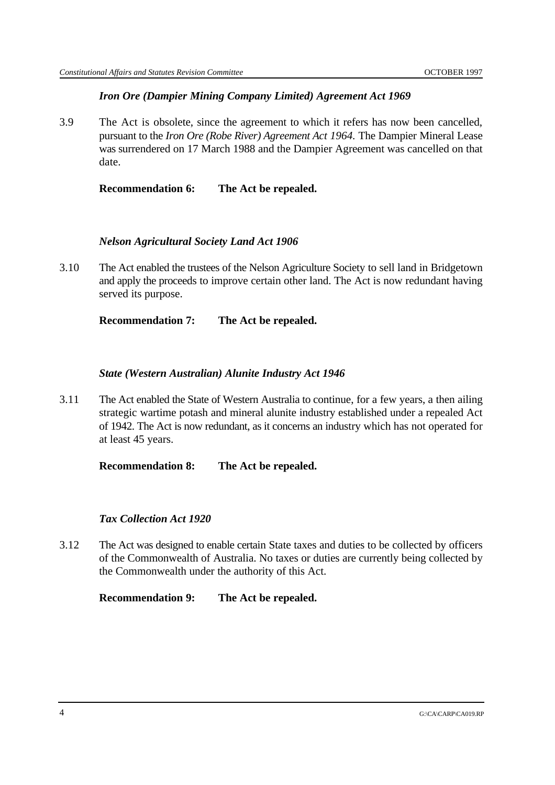## *Iron Ore (Dampier Mining Company Limited) Agreement Act 1969*

3.9 The Act is obsolete, since the agreement to which it refers has now been cancelled, pursuant to the *Iron Ore (Robe River) Agreement Act 1964.* The Dampier Mineral Lease was surrendered on 17 March 1988 and the Dampier Agreement was cancelled on that date.

**Recommendation 6: The Act be repealed.**

## *Nelson Agricultural Society Land Act 1906*

3.10 The Act enabled the trustees of the Nelson Agriculture Society to sell land in Bridgetown and apply the proceeds to improve certain other land. The Act is now redundant having served its purpose.

**Recommendation 7: The Act be repealed.**

## *State (Western Australian) Alunite Industry Act 1946*

3.11 The Act enabled the State of Western Australia to continue, for a few years, a then ailing strategic wartime potash and mineral alunite industry established under a repealed Act of 1942. The Act is now redundant, as it concerns an industry which has not operated for at least 45 years.

**Recommendation 8: The Act be repealed.**

## *Tax Collection Act 1920*

3.12 The Act was designed to enable certain State taxes and duties to be collected by officers of the Commonwealth of Australia. No taxes or duties are currently being collected by the Commonwealth under the authority of this Act.

**Recommendation 9: The Act be repealed.**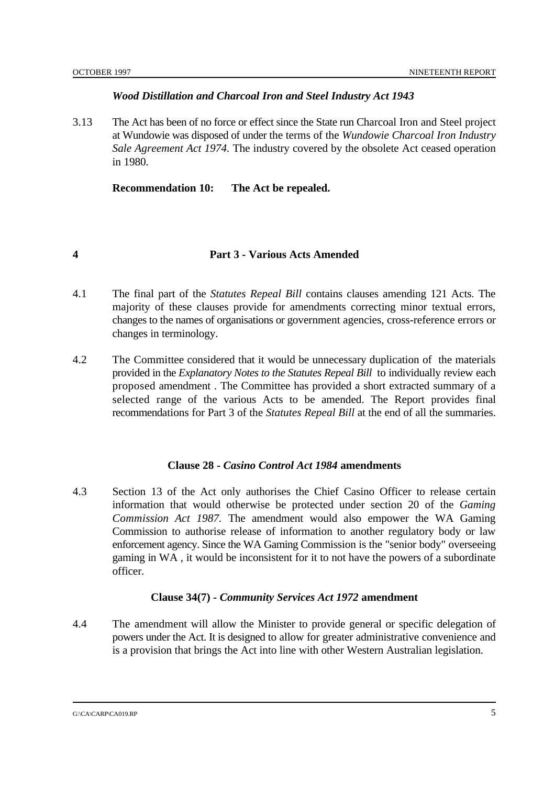## *Wood Distillation and Charcoal Iron and Steel Industry Act 1943*

3.13 The Act has been of no force or effect since the State run Charcoal Iron and Steel project at Wundowie was disposed of under the terms of the *Wundowie Charcoal Iron Industry Sale Agreement Act 1974.* The industry covered by the obsolete Act ceased operation in 1980.

**Recommendation 10: The Act be repealed.**

## **4 Part 3 - Various Acts Amended**

- 4.1 The final part of the *Statutes Repeal Bill* contains clauses amending 121 Acts. The majority of these clauses provide for amendments correcting minor textual errors, changes to the names of organisations or government agencies, cross-reference errors or changes in terminology.
- 4.2 The Committee considered that it would be unnecessary duplication of the materials provided in the *Explanatory Notes to the Statutes Repeal Bill* to individually review each proposed amendment . The Committee has provided a short extracted summary of a selected range of the various Acts to be amended. The Report provides final recommendations for Part 3 of the *Statutes Repeal Bill* at the end of all the summaries.

#### **Clause 28 -** *Casino Control Act 1984* **amendments**

4.3 Section 13 of the Act only authorises the Chief Casino Officer to release certain information that would otherwise be protected under section 20 of the *Gaming Commission Act 1987.* The amendment would also empower the WA Gaming Commission to authorise release of information to another regulatory body or law enforcement agency. Since the WA Gaming Commission is the "senior body" overseeing gaming in WA , it would be inconsistent for it to not have the powers of a subordinate officer.

## **Clause 34(7) -** *Community Services Act 1972* **amendment**

4.4 The amendment will allow the Minister to provide general or specific delegation of powers under the Act. It is designed to allow for greater administrative convenience and is a provision that brings the Act into line with other Western Australian legislation.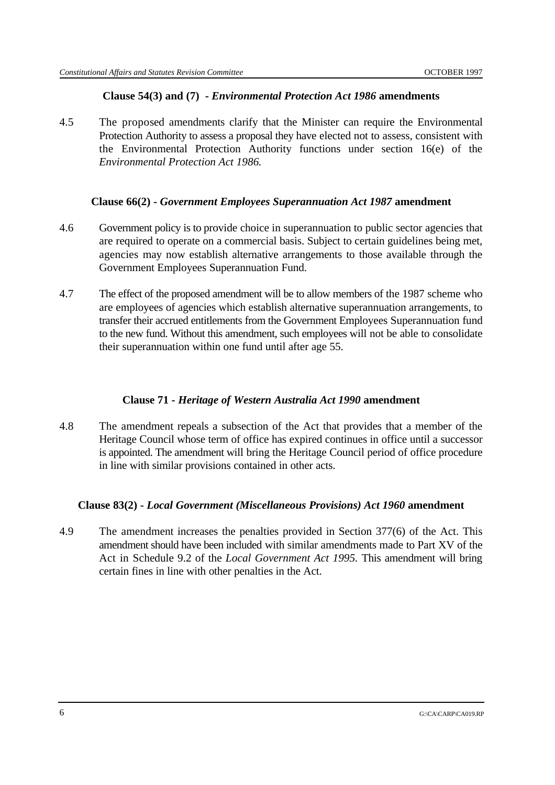## **Clause 54(3) and (7) -** *Environmental Protection Act 1986* **amendments**

4.5 The proposed amendments clarify that the Minister can require the Environmental Protection Authority to assess a proposal they have elected not to assess, consistent with the Environmental Protection Authority functions under section 16(e) of the *Environmental Protection Act 1986.*

## **Clause 66(2) -** *Government Employees Superannuation Act 1987* **amendment**

- 4.6 Government policy is to provide choice in superannuation to public sector agencies that are required to operate on a commercial basis. Subject to certain guidelines being met, agencies may now establish alternative arrangements to those available through the Government Employees Superannuation Fund.
- 4.7 The effect of the proposed amendment will be to allow members of the 1987 scheme who are employees of agencies which establish alternative superannuation arrangements, to transfer their accrued entitlements from the Government Employees Superannuation fund to the new fund. Without this amendment, such employees will not be able to consolidate their superannuation within one fund until after age 55.

## **Clause 71 -** *Heritage of Western Australia Act 1990* **amendment**

4.8 The amendment repeals a subsection of the Act that provides that a member of the Heritage Council whose term of office has expired continues in office until a successor is appointed. The amendment will bring the Heritage Council period of office procedure in line with similar provisions contained in other acts.

## **Clause 83(2) -** *Local Government (Miscellaneous Provisions) Act 1960* **amendment**

4.9 The amendment increases the penalties provided in Section 377(6) of the Act. This amendment should have been included with similar amendments made to Part XV of the Act in Schedule 9.2 of the *Local Government Act 1995.* This amendment will bring certain fines in line with other penalties in the Act.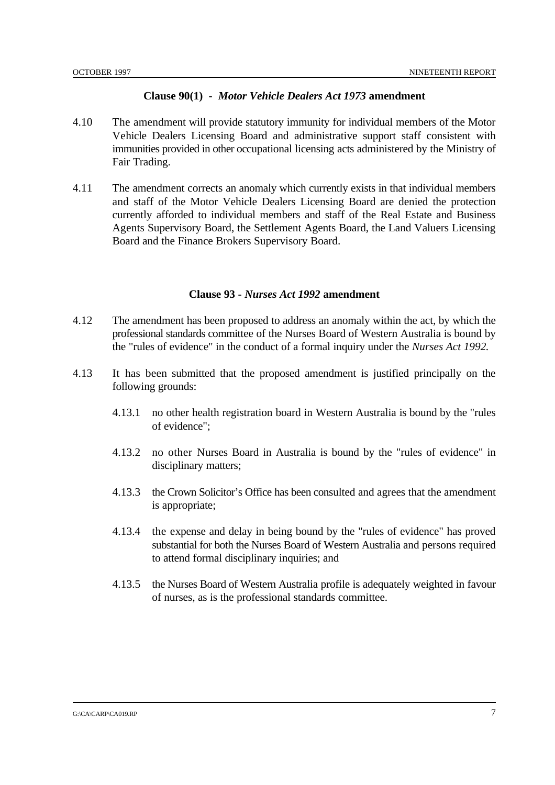#### **Clause 90(1) -** *Motor Vehicle Dealers Act 1973* **amendment**

- 4.10 The amendment will provide statutory immunity for individual members of the Motor Vehicle Dealers Licensing Board and administrative support staff consistent with immunities provided in other occupational licensing acts administered by the Ministry of Fair Trading.
- 4.11 The amendment corrects an anomaly which currently exists in that individual members and staff of the Motor Vehicle Dealers Licensing Board are denied the protection currently afforded to individual members and staff of the Real Estate and Business Agents Supervisory Board, the Settlement Agents Board, the Land Valuers Licensing Board and the Finance Brokers Supervisory Board.

#### **Clause 93 -** *Nurses Act 1992* **amendment**

- 4.12 The amendment has been proposed to address an anomaly within the act, by which the professional standards committee of the Nurses Board of Western Australia is bound by the "rules of evidence" in the conduct of a formal inquiry under the *Nurses Act 1992.*
- 4.13 It has been submitted that the proposed amendment is justified principally on the following grounds:
	- 4.13.1 no other health registration board in Western Australia is bound by the "rules of evidence";
	- 4.13.2 no other Nurses Board in Australia is bound by the "rules of evidence" in disciplinary matters;
	- 4.13.3 the Crown Solicitor's Office has been consulted and agrees that the amendment is appropriate;
	- 4.13.4 the expense and delay in being bound by the "rules of evidence" has proved substantial for both the Nurses Board of Western Australia and persons required to attend formal disciplinary inquiries; and
	- 4.13.5 the Nurses Board of Western Australia profile is adequately weighted in favour of nurses, as is the professional standards committee.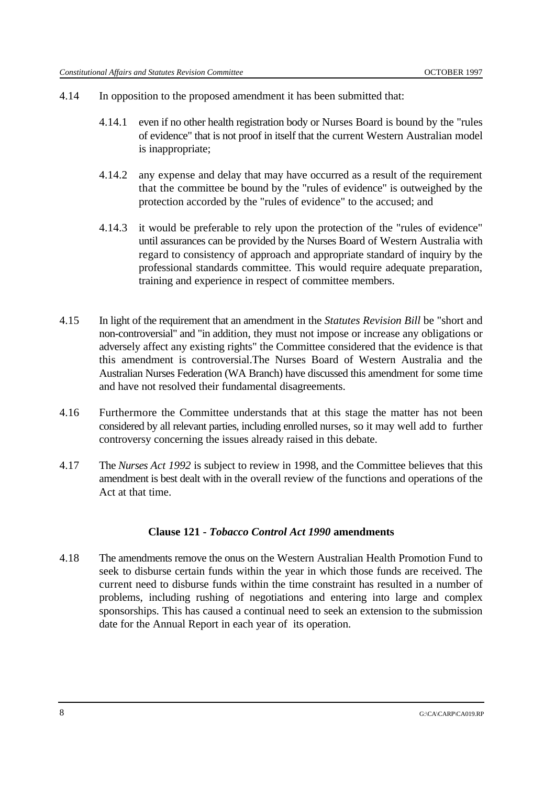- 4.14 In opposition to the proposed amendment it has been submitted that:
	- 4.14.1 even if no other health registration body or Nurses Board is bound by the "rules of evidence" that is not proof in itself that the current Western Australian model is inappropriate;
	- 4.14.2 any expense and delay that may have occurred as a result of the requirement that the committee be bound by the "rules of evidence" is outweighed by the protection accorded by the "rules of evidence" to the accused; and
	- 4.14.3 it would be preferable to rely upon the protection of the "rules of evidence" until assurances can be provided by the Nurses Board of Western Australia with regard to consistency of approach and appropriate standard of inquiry by the professional standards committee. This would require adequate preparation, training and experience in respect of committee members.
- 4.15 In light of the requirement that an amendment in the *Statutes Revision Bill* be "short and non-controversial" and "in addition, they must not impose or increase any obligations or adversely affect any existing rights" the Committee considered that the evidence is that this amendment is controversial.The Nurses Board of Western Australia and the Australian Nurses Federation (WA Branch) have discussed this amendment for some time and have not resolved their fundamental disagreements.
- 4.16 Furthermore the Committee understands that at this stage the matter has not been considered by all relevant parties, including enrolled nurses, so it may well add to further controversy concerning the issues already raised in this debate.
- 4.17 The *Nurses Act 1992* is subject to review in 1998, and the Committee believes that this amendment is best dealt with in the overall review of the functions and operations of the Act at that time.

#### **Clause 121 -** *Tobacco Control Act 1990* **amendments**

4.18 The amendments remove the onus on the Western Australian Health Promotion Fund to seek to disburse certain funds within the year in which those funds are received. The current need to disburse funds within the time constraint has resulted in a number of problems, including rushing of negotiations and entering into large and complex sponsorships. This has caused a continual need to seek an extension to the submission date for the Annual Report in each year of its operation.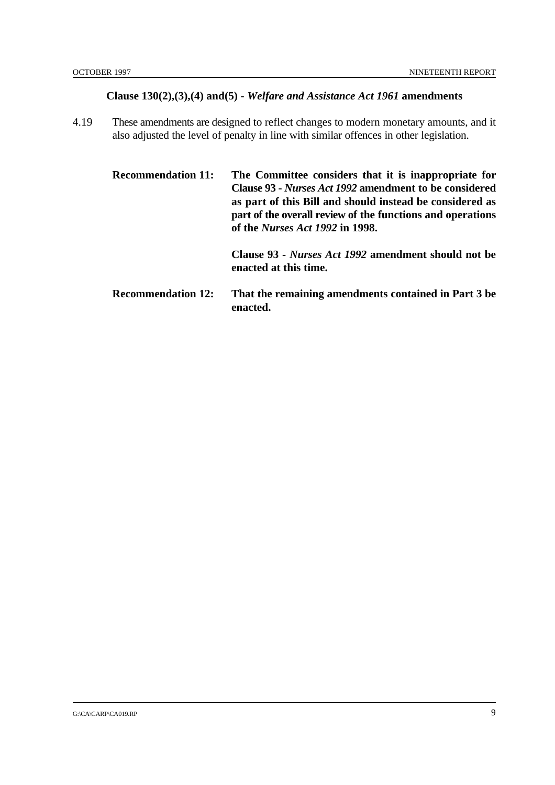## **Clause 130(2),(3),(4) and(5) -** *Welfare and Assistance Act 1961* **amendments**

4.19 These amendments are designed to reflect changes to modern monetary amounts, and it also adjusted the level of penalty in line with similar offences in other legislation.

**Recommendation 11: The Committee considers that it is inappropriate for Clause 93 -** *Nurses Act 1992* **amendment to be considered as part of this Bill and should instead be considered as part of the overall review of the functions and operations of the** *Nurses Act 1992* **in 1998. Clause 93 -** *Nurses Act 1992* **amendment should not be enacted at this time.**

**Recommendation 12: That the remaining amendments contained in Part 3 be enacted.**